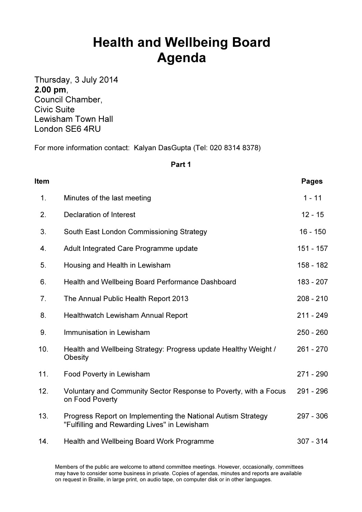## Health and Wellbeing Board Agenda

Thursday, 3 July 2014 2.00 pm, Council Chamber, Civic Suite Lewisham Town Hall London SE6 4RU

For more information contact: Kalyan DasGupta (Tel: 020 8314 8378)

## Part 1

| <b>Item</b> |                                                                                                              | <b>Pages</b> |
|-------------|--------------------------------------------------------------------------------------------------------------|--------------|
| 1.          | Minutes of the last meeting                                                                                  | $1 - 11$     |
| 2.          | Declaration of Interest                                                                                      | $12 - 15$    |
| 3.          | South East London Commissioning Strategy                                                                     | $16 - 150$   |
| 4.          | Adult Integrated Care Programme update                                                                       | 151 - 157    |
| 5.          | Housing and Health in Lewisham                                                                               | 158 - 182    |
| 6.          | Health and Wellbeing Board Performance Dashboard                                                             | 183 - 207    |
| 7.          | The Annual Public Health Report 2013                                                                         | $208 - 210$  |
| 8.          | Healthwatch Lewisham Annual Report                                                                           | $211 - 249$  |
| 9.          | Immunisation in Lewisham                                                                                     | $250 - 260$  |
| 10.         | Health and Wellbeing Strategy: Progress update Healthy Weight /<br>Obesity                                   | $261 - 270$  |
| 11.         | Food Poverty in Lewisham                                                                                     | $271 - 290$  |
| 12.         | Voluntary and Community Sector Response to Poverty, with a Focus<br>on Food Poverty                          | 291 - 296    |
| 13.         | Progress Report on Implementing the National Autism Strategy<br>"Fulfilling and Rewarding Lives" in Lewisham | $297 - 306$  |
| 14.         | Health and Wellbeing Board Work Programme                                                                    | $307 - 314$  |

Members of the public are welcome to attend committee meetings. However, occasionally, committees may have to consider some business in private. Copies of agendas, minutes and reports are available on request in Braille, in large print, on audio tape, on computer disk or in other languages.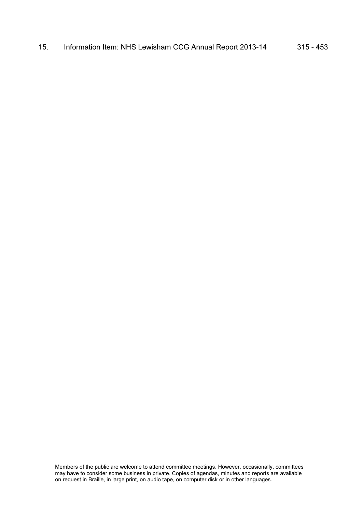15. Information Item: NHS Lewisham CCG Annual Report 2013-14 315 - 453

Members of the public are welcome to attend committee meetings. However, occasionally, committees may have to consider some business in private. Copies of agendas, minutes and reports are available on request in Braille, in large print, on audio tape, on computer disk or in other languages.